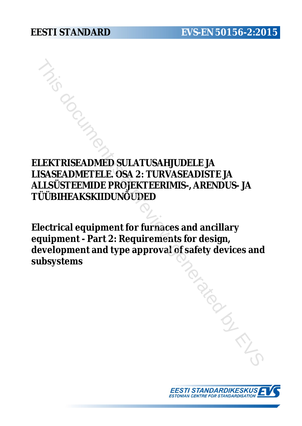# **ELEKTRISEADMED SULATUSAHJUDELE JA LISASEADMETELE. OSA 2: TURVASEADISTE JA ALLSÜSTEEMIDE PROJEKTEERIMIS-, ARENDUS- JA TÜÜBIHEAKSKIIDUNÕUDED**

**Electrical equipment for furnaces and ancillary equipment - Part 2: Requirements for design, development and type approval of safety devices and subsystems** FRISEADMED SULATUSAHJUDELE JA<br>
SASEADMETELE OSA 2: TURVASEADISTE JA<br>
.LSÜSTEEMIDE PROJEKTEEMINIS-, ARENDUS- JA<br>
JÜBIHEAKSKIIDUNÕUDED<br>
ectrical equipment for furnaces and ancillary<br>
quipment - Part 2: Requirements for desig

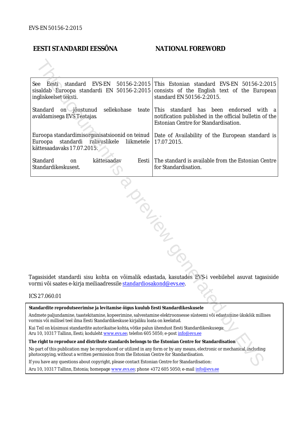#### **EESTI STANDARDI EESSÕNA NATIONAL FOREWORD**

| EVS-EN<br>See Eesti standard<br>ingliskeelset teksti.                                                                                                                                                                  | 50156-2:2015 This Estonian standard EVS-EN 50156-2:2015<br>sisaldab Euroopa standardi EN 50156-2:2015 consists of the English text of the European<br>standard EN 50156-2:2015. |  |
|------------------------------------------------------------------------------------------------------------------------------------------------------------------------------------------------------------------------|---------------------------------------------------------------------------------------------------------------------------------------------------------------------------------|--|
| Standard<br>sellekohase<br>on jõustunud<br>avaldamisega EVS Teatajas                                                                                                                                                   | teate This standard has been endorsed<br>with a<br>notification published in the official bulletin of the<br>Estonian Centre for Standardisation.                               |  |
| Euroopa<br>standardi rahvuslikele<br>liikmetele<br>kättesaadavaks 17.07.2015.                                                                                                                                          | Euroopa standardimisorganisatsioonid on teinud   Date of Availability of the European standard is<br>17.07.2015.                                                                |  |
| Standard<br>kättesaadav<br>Eesti  <br>on<br>Standardikeskusest.                                                                                                                                                        | The standard is available from the Estonian Centre<br>for Standardisation.                                                                                                      |  |
| vormi või saates e-kirja meiliaadressile <u>standardiosakond@evs.ee</u> .<br>ICS 27.060.01                                                                                                                             | Tagasisidet standardi sisu kohta on võimalik edastada, kasutades EVS-i veebilehel asuvat tagasiside                                                                             |  |
|                                                                                                                                                                                                                        |                                                                                                                                                                                 |  |
| Standardite reprodutseerimise ja levitamise õigus kuulub Eesti Standardikeskusele                                                                                                                                      |                                                                                                                                                                                 |  |
| Andmete paljundamine, taastekitamine, kopeerimine, salvestamine elektroonsesse süsteemi või edastamine ükskõik millises<br>vormis või millisel teel ilma Eesti Standardikeskuse kirjaliku loata on keelatud.           |                                                                                                                                                                                 |  |
| kui Teil on küsimusi standardite autorikaitse kohta, võtke palun ühendust Eesti Standardikeskusega:<br>Aru 10, 10317 Tallinn, Eesti; koduleht www.evs.ee; telefon 605 5050; e-post info@evs.ee                         |                                                                                                                                                                                 |  |
| The right to reproduce and distribute standards belongs to the Estonian Centre for Standardisation                                                                                                                     |                                                                                                                                                                                 |  |
| No part of this publication may be reproduced or utilized in any form or by any means, electronic or mechanical, including<br>ohotocopying, without a written permission from the Estonian Centre for Standardisation. |                                                                                                                                                                                 |  |
| If you have any questions about copyright, please contact Estonian Centre for Standardisation:                                                                                                                         |                                                                                                                                                                                 |  |
|                                                                                                                                                                                                                        |                                                                                                                                                                                 |  |

#### ICS 27.060.01

Aru 10, 10317 Tallinn, Estonia; homepage [www.evs.ee](http://www.evs.ee/); phone +372 605 5050; e-mail info@evs.ee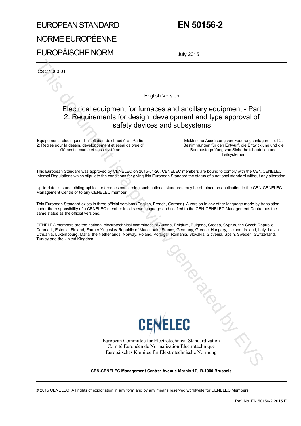# EUROPEAN STANDARD NORME EUROPÉENNE EUROPÄISCHE NORM

## **EN 50156-2**

July 2015

ICS 27.060.01

English Version

# Electrical equipment for furnaces and ancillary equipment - Part 2: Requirements for design, development and type approval of safety devices and subsystems English Version<br>
English Version<br>  $\frac{1}{2}$  Electrical equipment for funnaces and ancillary equipment - P2<br>
2: Requirements for design, development and type approval +<br>
English Mexico documents for design, development and

Equipements électriques d'installation de chaudière - Partie 2: Règles pour la dessin, développement et essai de type d' élément sécurité et sous-système

Elektrische Ausrüstung von Feuerungsanlagen - Teil 2: Bestimmungen für den Entwurf, die Entwicklung und die Baumusterprüfung von Sicherheitsbauteilen und **Teilsystemen** 

This European Standard was approved by CENELEC on 2015-01-26. CENELEC members are bound to comply with the CEN/CENELEC Internal Regulations which stipulate the conditions for giving this European Standard the status of a national standard without any alteration.

Up-to-date lists and bibliographical references concerning such national standards may be obtained on application to the CEN-CENELEC Management Centre or to any CENELEC member.

This European Standard exists in three official versions (English, French, German). A version in any other language made by translation under the responsibility of a CENELEC member into its own language and notified to the CEN-CENELEC Management Centre has the same status as the official versions.

CENELEC members are the national electrotechnical committees of Austria, Belgium, Bulgaria, Croatia, Cyprus, the Czech Republic, Denmark, Estonia, Finland, Former Yugoslav Republic of Macedonia, France, Germany, Greece, Hungary, Iceland, Ireland, Italy, Latvia, Lithuania, Luxembourg, Malta, the Netherlands, Norway, Poland, Portugal, Romania, Slovakia, Slovenia, Spain, Sweden, Switzerland, Turkey and the United Kingdom.



European Committee for Electrotechnical Standardization Comité Européen de Normalisation Electrotechnique Europäisches Komitee für Elektrotechnische Normung

**CEN-CENELEC Management Centre: Avenue Marnix 17, B-1000 Brussels**

© 2015 CENELEC All rights of exploitation in any form and by any means reserved worldwide for CENELEC Members.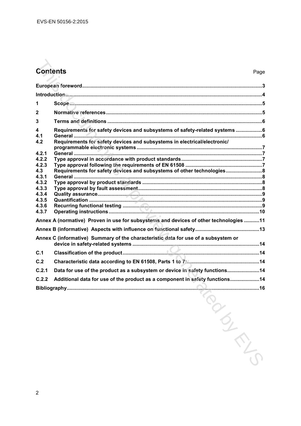# **Contents** Page

| <b>Contents</b> | Page                                                                                  |
|-----------------|---------------------------------------------------------------------------------------|
|                 |                                                                                       |
|                 |                                                                                       |
| 1               |                                                                                       |
| 2               |                                                                                       |
| 3               |                                                                                       |
| 4<br>4.1        | Requirements for safety devices and subsystems of safety-related systems 6            |
| 4.2             | Requirements for safety devices and subsystems in electrical/electronic/              |
| 4.2.1           |                                                                                       |
| 4.2.2<br>4.2.3  |                                                                                       |
| 4.3             | Requirements for safety devices and subsystems of other technologies                  |
| 4.3.1           |                                                                                       |
| 4.3.2<br>4.3.3  |                                                                                       |
| 4.3.4           |                                                                                       |
| 4.3.5           |                                                                                       |
| 4.3.6           |                                                                                       |
| 4.3.7           |                                                                                       |
|                 | Annex A (normative) Proven in use for subsystems and devices of other technologies 11 |
|                 |                                                                                       |
|                 | Annex C (informative) Summary of the characteristic data for use of a subsystem or    |
| C.1             |                                                                                       |
| C.2             |                                                                                       |
| C.2.1           | Data for use of the product as a subsystem or device in safety functions 14           |
| C.2.2           | Additional data for use of the product as a component in safety functions14           |
|                 | Bibliography                                                                          |
|                 |                                                                                       |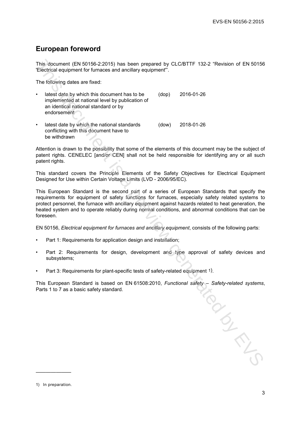### **European foreword**

This document (EN 50156-2:2015) has been prepared by CLC/BTTF 132-2 "Revision of EN 50156 'Electrical equipment for furnaces and ancillary equipment'".

The following dates are fixed:

- latest date by which this document has to be implemented at national level by publication of an identical national standard or by endorsement (dop) 2016-01-26
- latest date by which the national standards conflicting with this document have to be withdrawn (dow) 2018-01-26

Attention is drawn to the possibility that some of the elements of this document may be the subject of patent rights. CENELEC [and/or CEN] shall not be held responsible for identifying any or all such patent rights.

This standard covers the Principle Elements of the Safety Objectives for Electrical Equipment Designed for Use within Certain Voltage Limits (LVD - 2006/95/EC).

This European Standard is the second part of a series of European Standards that specify the requirements for equipment of safety functions for furnaces, especially safety related systems to protect personnel, the furnace with ancillary equipment against hazards related to heat generation, the heated system and to operate reliably during normal conditions, and abnormal conditions that can be foreseen. This document (EN 50154-22015) has been propared by CLC/BTTF 132-2 "Revision of EN 50156<br>The following dates are function and another equipment".<br>The following dates are function level by politicalism (equipment".<br>
The fol

EN 50156, *Electrical equipment for furnaces and ancillary equipment*, consists of the following parts:

- Part 1: Requirements for application design and installation;
- Part 2: Requirements for design, development and type approval of safety devices and subsystems;
- Part 3: Requirements for plant-specific tests of safety-related equipment 1).

This European Standard is based on EN 61508:2010, *Functional safety – Safety-related systems*, Parts 1 to 7 as a basic safety standard.

———————

<sup>1)</sup> In preparation.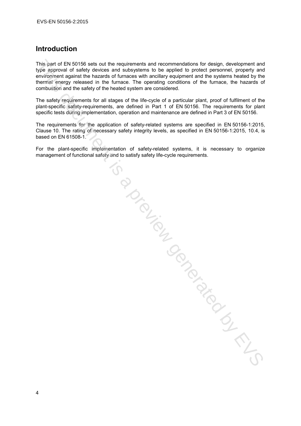#### **Introduction**

This part of EN 50156 sets out the requirements and recommendations for design, development and type approval of safety devices and subsystems to be applied to protect personnel, property and environment against the hazards of furnaces with ancillary equipment and the systems heated by the thermal energy released in the furnace. The operating conditions of the furnace, the hazards of combustion and the safety of the heated system are considered.

The safety requirements for all stages of the life-cycle of a particular plant, proof of fulfilment of the plant-specific safety-requirements, are defined in Part 1 of EN 50156. The requirements for plant specific tests during implementation, operation and maintenance are defined in Part 3 of EN 50156.

The requirements for the application of safety-related systems are specified in EN 50156-1:2015, Clause 10. The rating of necessary safety integrity levels, as specified in EN 50156-1:2015, 10.4, is based on EN 61508-1.

For the plant-specific implementation of safety-related systems, it is necessary to organize management of functional safety and to satisfy safety life-cycle requirements. Trial Contained by EVS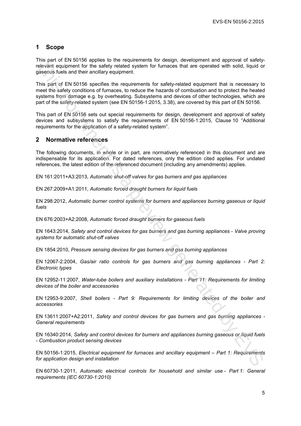#### **1 Scope**

This part of EN 50156 applies to the requirements for design, development and approval of safetyrelevant equipment for the safety related system for furnaces that are operated with solid, liquid or gaseous fuels and their ancillary equipment.

This part of EN 50156 specifies the requirements for safety-related equipment that is necessary to meet the safety conditions of furnaces, to reduce the hazards of combustion and to protect the heated systems from damage e.g. by overheating. Subsystems and devices of other technologies, which are part of the safety-related system (see EN 50156-1:2015, 3.38), are covered by this part of EN 50156. This part of EN 8015-130 tappins to the requirements for design, development and approval of the boatstrands of the state periodic state of the state of the state of the state of the state of the state of the state of the

This part of EN 50156 sets out special requirements for design, development and approval of safety devices and subsystems to satisfy the requirements of EN 50156-1:2015, Clause 10 "Additional requirements for the application of a safety-related system".

#### **2 Normative references**

The following documents, in whole or in part, are normatively referenced in this document and are indispensable for its application. For dated references, only the edition cited applies. For undated references, the latest edition of the referenced document (including any amendments) applies.

EN 161:2011+A3:2013, *Automatic shut-off valves for gas burners and gas appliances*

EN 267:2009+A1:2011, *Automatic forced draught burners for liquid fuels*

EN 298:2012, *Automatic burner control systems for burners and appliances burning gaseous or liquid fuels*

EN 676:2003+A2:2008, *Automatic forced draught burners for gaseous fuels*

EN 1643:2014, *Safety and control devices for gas burners and gas burning appliances - Valve proving systems for automatic shut-off valves*

EN 1854:2010, *Pressure sensing devices for gas burners and gas burning appliances*

EN 12067-2:2004, *Gas/air ratio controls for gas burners and gas burning appliances - Part 2: Electronic types*

EN 12952-11:2007, *Water-tube boilers and auxiliary installations - Part 11: Requirements for limiting devices of the boiler and accessories*

EN 12953-9:2007, *Shell boilers - Part 9: Requirements for limiting devices of the boiler and accessories*

EN 13611:2007+A2:2011, *Safety and control devices for gas burners and gas burning appliances - General requirements*

EN 16340:2014, *Safety and control devices for burners and appliances burning gaseous or liquid fuels - Combustion product sensing devices*

EN 50156-1:2015, *Electrical equipment for furnaces and ancillary equipment – Part 1: Requirements for application design and installation*

EN 60730-1:2011, *Automatic electrical controls for household and similar use - Part 1: General requirements (IEC 60730-1:2010)*